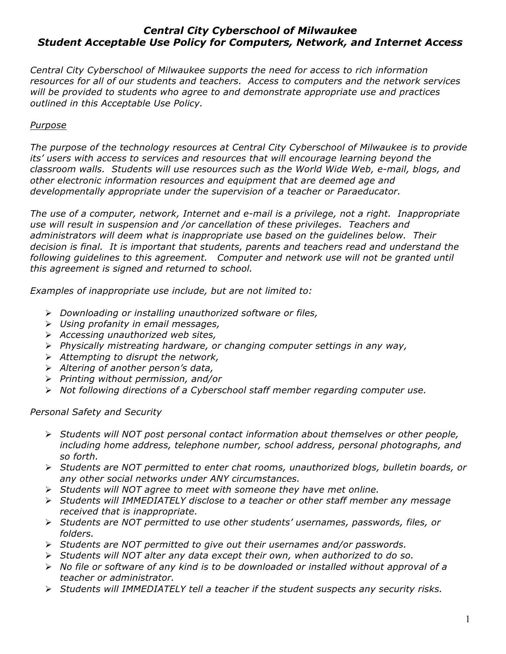## *Central City Cyberschool of Milwaukee Student Acceptable Use Policy for Computers, Network, and Internet Access*

*Central City Cyberschool of Milwaukee supports the need for access to rich information resources for all of our students and teachers. Access to computers and the network services will be provided to students who agree to and demonstrate appropriate use and practices outlined in this Acceptable Use Policy.*

## *Purpose*

*The purpose of the technology resources at Central City Cyberschool of Milwaukee is to provide its' users with access to services and resources that will encourage learning beyond the classroom walls. Students will use resources such as the World Wide Web, e-mail, blogs, and other electronic information resources and equipment that are deemed age and developmentally appropriate under the supervision of a teacher or Paraeducator.*

*The use of a computer, network, Internet and e-mail is a privilege, not a right. Inappropriate use will result in suspension and /or cancellation of these privileges. Teachers and administrators will deem what is inappropriate use based on the guidelines below. Their decision is final. It is important that students, parents and teachers read and understand the following guidelines to this agreement. Computer and network use will not be granted until this agreement is signed and returned to school.*

*Examples of inappropriate use include, but are not limited to:*

- Ø *Downloading or installing unauthorized software or files,*
- Ø *Using profanity in email messages,*
- Ø *Accessing unauthorized web sites,*
- Ø *Physically mistreating hardware, or changing computer settings in any way,*
- Ø *Attempting to disrupt the network,*
- Ø *Altering of another person's data,*
- Ø *Printing without permission, and/or*
- Ø *Not following directions of a Cyberschool staff member regarding computer use.*

*Personal Safety and Security*

- Ø *Students will NOT post personal contact information about themselves or other people, including home address, telephone number, school address, personal photographs, and so forth.*
- Ø *Students are NOT permitted to enter chat rooms, unauthorized blogs, bulletin boards, or any other social networks under ANY circumstances.*
- Ø *Students will NOT agree to meet with someone they have met online.*
- Ø *Students will IMMEDIATELY disclose to a teacher or other staff member any message received that is inappropriate.*
- Ø *Students are NOT permitted to use other students' usernames, passwords, files, or folders.*
- Ø *Students are NOT permitted to give out their usernames and/or passwords.*
- Ø *Students will NOT alter any data except their own, when authorized to do so.*
- Ø *No file or software of any kind is to be downloaded or installed without approval of a teacher or administrator.*
- Ø *Students will IMMEDIATELY tell a teacher if the student suspects any security risks.*